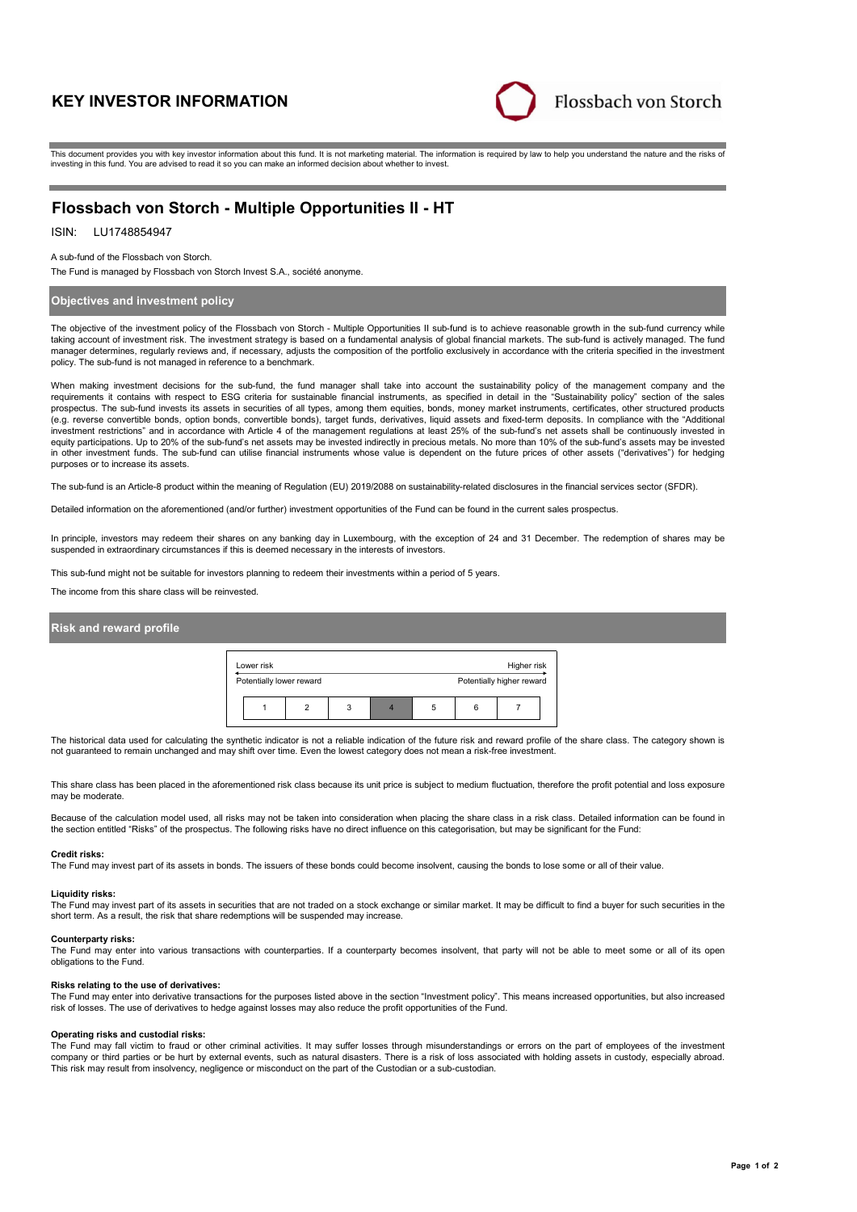# **KEY INVESTOR INFORMATION**



This document provides you with key investor information about this fund. It is not marketing material. The information is required by law to help you understand the nature and the risks of investing in this fund. You are advised to read it so you can make an informed decision about whether to invest.

# **Flossbach von Storch - Multiple Opportunities II - HT**

# ISIN: LU1748854947

A sub-fund of the Flossbach von Storch.

The Fund is managed by Flossbach von Storch Invest S.A., société anonyme.

## **Objectives and investment policy**

The objective of the investment policy of the Flossbach von Storch - Multiple Opportunities II sub-fund is to achieve reasonable growth in the sub-fund currency while taking account of investment risk. The investment strategy is based on a fundamental analysis of global financial markets. The sub-fund is actively managed. The fund manager determines, regularly reviews and, if necessary, adjusts the composition of the portfolio exclusively in accordance with the criteria specified in the investment policy. The sub-fund is not managed in reference to a benchmark.

When making investment decisions for the sub-fund, the fund manager shall take into account the sustainability policy of the management company and the requirements it contains with respect to ESG criteria for sustainable financial instruments, as specified in detail in the "Sustainability policy" section of the sales prospectus. The sub-fund invests its assets in securities of all types, among them equities, bonds, money market instruments, certificates, other structured products (e.g. reverse convertible bonds, option bonds, convertible bonds), target funds, derivatives, liquid assets and fixed-term deposits. In compliance with the "Additional investment restrictions" and in accordance with Article 4 of the management regulations at least 25% of the sub-fund's net assets shall be continuously invested in equity participations. Up to 20% of the sub-fund's net assets may be invested indirectly in precious metals. No more than 10% of the sub-fund's assets may be invested in other investment funds. The sub-fund can utilise financial instruments whose value is dependent on the future prices of other assets ("derivatives") for hedging purposes or to increase its assets.

The sub-fund is an Article-8 product within the meaning of Regulation (EU) 2019/2088 on sustainability-related disclosures in the financial services sector (SFDR).

Detailed information on the aforementioned (and/or further) investment opportunities of the Fund can be found in the current sales prospectus.

In principle, investors may redeem their shares on any banking day in Luxembourg, with the exception of 24 and 31 December. The redemption of shares may be suspended in extraordinary circumstances if this is deemed necessary in the interests of investors.

This sub-fund might not be suitable for investors planning to redeem their investments within a period of 5 years.

The income from this share class will be reinvested.

### **Risk and reward profile**

| Lower risk               |  |   |  |                           |  | Higher risk |  |
|--------------------------|--|---|--|---------------------------|--|-------------|--|
| Potentially lower reward |  |   |  | Potentially higher reward |  |             |  |
|                          |  | 3 |  | 5                         |  |             |  |

The historical data used for calculating the synthetic indicator is not a reliable indication of the future risk and reward profile of the share class. The category shown is not guaranteed to remain unchanged and may shift over time. Even the lowest category does not mean a risk-free investment.

This share class has been placed in the aforementioned risk class because its unit price is subject to medium fluctuation, therefore the profit potential and loss exposure may be moderate

Because of the calculation model used, all risks may not be taken into consideration when placing the share class in a risk class. Detailed information can be found in the section entitled "Risks" of the prospectus. The following risks have no direct influence on this categorisation, but may be significant for the Fund:

#### **Credit risks:**

The Fund may invest part of its assets in bonds. The issuers of these bonds could become insolvent, causing the bonds to lose some or all of their value.

### **Liquidity risks:**

The Fund may invest part of its assets in securities that are not traded on a stock exchange or similar market. It may be difficult to find a buyer for such securities in the short term. As a result, the risk that share redemptions will be suspended may increase.

#### **Counterparty risks:**

The Fund may enter into various transactions with counterparties. If a counterparty becomes insolvent, that party will not be able to meet some or all of its open obligations to the Fund.

#### **Risks relating to the use of derivatives:**

The Fund may enter into derivative transactions for the purposes listed above in the section "Investment policy". This means increased opportunities, but also increased risk of losses. The use of derivatives to hedge against losses may also reduce the profit opportunities of the Fund.

#### **Operating risks and custodial risks:**

The Fund may fall victim to fraud or other criminal activities. It may suffer losses through misunderstandings or errors on the part of employees of the investment company or third parties or be hurt by external events, such as natural disasters. There is a risk of loss associated with holding assets in custody, especially abroad. This risk may result from insolvency, negligence or misconduct on the part of the Custodian or a sub-custodian.